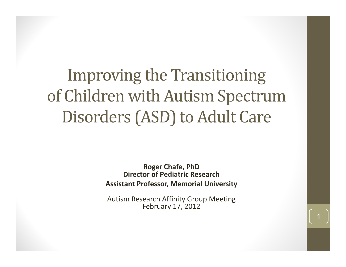### Improving the Transitioning of Children with Autism Spectrum Disorders (ASD) to Adult Care

**Roger Chafe, PhD Director of Pediatric ResearchAssistant Professor, Memorial University**

Autism Research Affinity Group Meeting February 17, 2012

1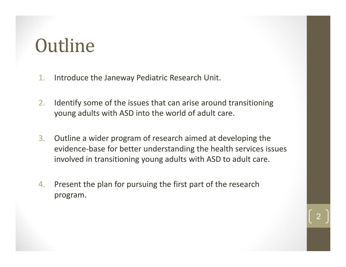### **Outline**

- 1.. Introduce the Janeway Pediatric Research Unit.
- 2. Identify some of the issues that can arise around transitioning young adults with ASD into the world of adult care.
- 3. Outline <sup>a</sup> wider program of research aimed at developing the evidence ‐base for better understanding the health services issues involved in transitioning young adults with ASD to adult care.
- 4. Present the plan for pursuing the first part of the research program.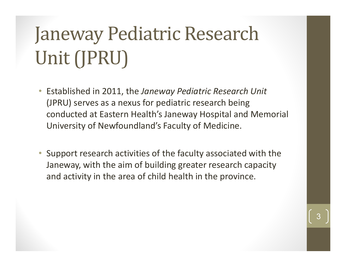# Janeway Pediatric Research Unit (JPRU)

- Established in 2011, the *Janeway Pediatric Research Unit* (JPRU) serves as a nexus for pediatric research being conducted at Eastern Health's Janeway Hospital and Memorial University of Newfoundland's Faculty of Medicine.
- Support research activities of the faculty associated with the Janeway, with the aim of building greater research capacity and activity in the area of child health in the province.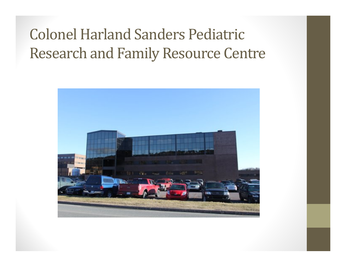#### **Colonel Harland Sanders Pediatric** Research and Family Resource Centre

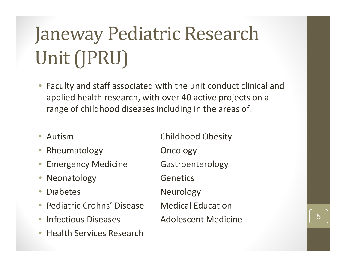# Janeway Pediatric Research Unit (JPRU)

- Faculty and staff associated with the unit conduct clinical and applied health research, with over 40 active projects on a range of childhood diseases including in the areas of:
- Autism
- $\bullet$ Rheumatology **Oncology**
- •Emergency Medicine Gastroenterology
- $\bullet$ Neonatology **Genetics**
- $\bullet$
- $\bullet$ **Pediatric Crohns' Disease**
- Infectious Diseases Adolescent  $\bullet$
- $\bullet$ • Health Services Research

 Autism Childhood Obesity Diabetes Neurology **Medical Education** olescent Medicine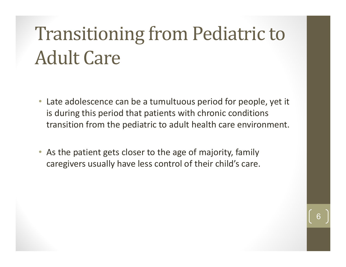# **Transitioning from Pediatric to Adult Care**

- Late adolescence can be a tumultuous period for people, yet it is during this period that patients with chronic conditions transition from the pediatric to adult health care environment.
- $\bullet$ As the patient gets closer to the age of majority, family caregivers usually have less control of their child's care.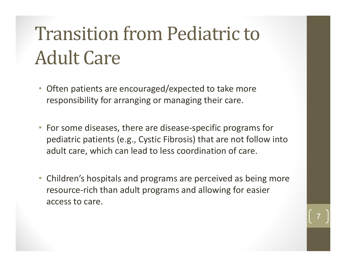# **Transition from Pediatric to Adult Care**

- $\bullet$  Often patients are encouraged/expected to take more responsibility for arranging or managing their care.
- For some diseases, there are disease ‐specific programs for pediatric patients (e.g., Cystic Fibrosis) that are not follow into adult care, which can lead to less coordination of care.
- $\bullet$  Children's hospitals and programs are perceived as being more resource ‐rich than adult programs and allowing for easier access to care.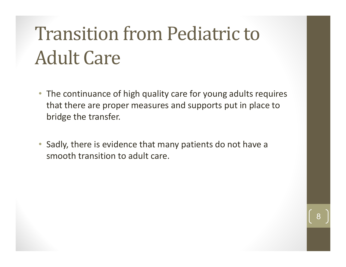## **Transition from Pediatric to Adult Care**

- The continuance of high quality care for young adults requires that there are proper measures and supports put in place to bridge the transfer.
- Sadly, there is evidence that many patients do not have a smooth transition to adult care.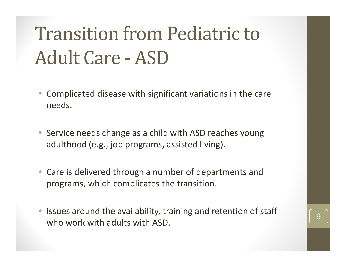# **Transition from Pediatric to** Adult Care - ASD

- $\bullet$  Complicated disease with significant variations in the care needs.
- Service needs change as a child with ASD reaches young adulthood (e.g., job programs, assisted living).
- Care is delivered through a number of departments and programs, which complicates the transition.
- Issues around the availability, training and retention of staff who work with adults with ASD.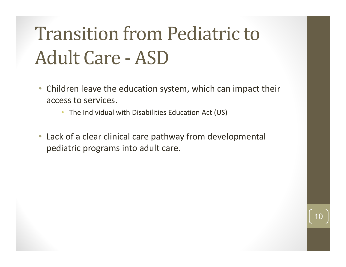# **Transition from Pediatric to** Adult Care - ASD

- Children leave the education system, which can impact their access to services.
	- The Individual with Disabilities Education Act (US)
- Lack of a clear clinical care pathway from developmental pediatric programs into adult care.

10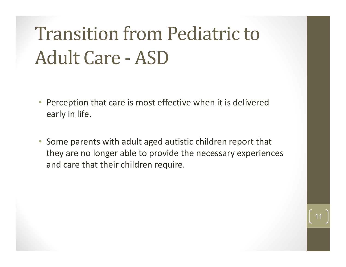# **Transition from Pediatric to** Adult Care - ASD

- $\bullet$  Perception that care is most effective when it is delivered early in life.
- Some parents with adult aged autistic children report that they are no longer able to provide the necessary experiences and care that their children require.

11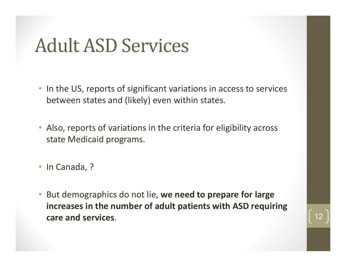#### Adult ASD Services

- In the US, reports of significant variations in access to services between states and (likely) even within states.
- Also, reports of variations in the criteria for eligibility across state Medicaid programs.
- In Canada, ?
- But demographics do not lie, **we need to prepare for large increases in the number of adult patients with ASD requiring care and services** . 12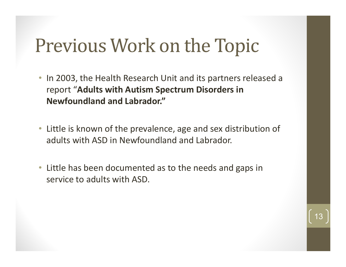### Previous Work on the Topic

- In 2003, the Health Research Unit and its partners released a report "**Adults with Autism Spectrum Disorders in Newfoundland and Labrador."**
- Little is known of the prevalence, age and sex distribution of adults with ASD in Newfoundland and Labrador.
- Little has been documented as to the needs and gaps in service to adults with ASD.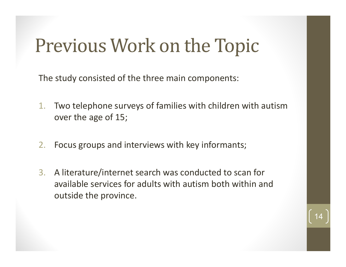## Previous Work on the Topic

The study consisted of the three main components:

- 1. Two telephone surveys of families with children with autism over the age of 15;
- 2.Focus groups and interviews with key informants;
- 3.A literature/internet search was conducted to scan for available services for adults with autism both within and outside the province.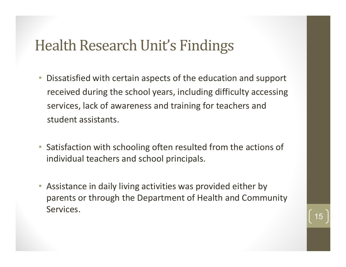#### Health Research Unit's Findings

- $\bullet$  Dissatisfied with certain aspects of the education and support received during the school years, including difficulty accessing services, lack of awareness and training for teachers and student assistants.
- Satisfaction with schooling often resulted from the actions of individual teachers and school principals.
- $\bullet$  $\bullet$  Assistance in daily living activities was provided either by parents or through the Department of Health and Community Services.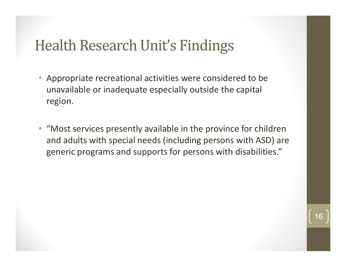#### Health Research Unit's Findings

- $\bullet$  Appropriate recreational activities were considered to be unavailable or inadequate especially outside the capital region.
- "Most services presently available in the province for children and adults with special needs (including persons with ASD) are generic programs and supports for persons with disabilities."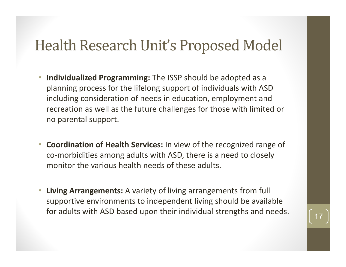#### Health Research Unit's Proposed Model

- $\bullet$  **Individualized Programming:** The ISSP should be adopted as <sup>a</sup> planning process for the lifelong support of individuals with ASD including consideration of needs in education, employment and recreation as well as the future challenges for those with limited or no parental support.
- $\bullet$  **Coordination of Health Services:** In view of the recognized range of co‐morbidities among adults with ASD, there is <sup>a</sup> need to closely monitor the various health needs of these adults.
- $\bullet$  **Living Arrangements:** A variety of living arrangements from full supportive environments to independent living should be available for adults with ASD based upon their individual strengths and needs.  $\begin{array}{|c|c|} \hline 17 \end{array}$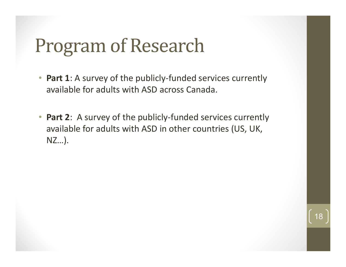## Program of Research

- $\bullet$ • Part 1: A survey of the publicly-funded services currently available for adults with ASD across Canada.
- •• Part 2: A survey of the publicly-funded services currently available for adults with ASD in other countries (US, UK, NZ…).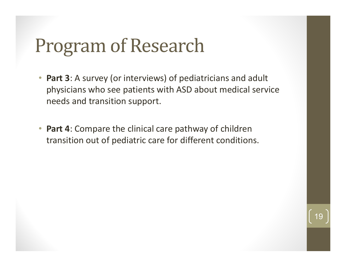## Program of Research

- $\bullet$  **Part 3**: A survey (or interviews) of pediatricians and adult physicians who see patients with ASD about medical service needs and transition support.
- $\bullet$  **Part 4**: Compare the clinical care pathway of children transition out of pediatric care for different conditions.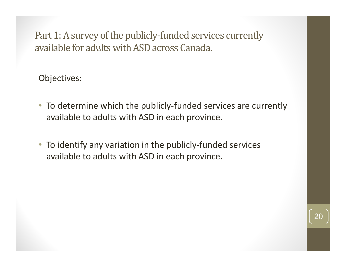Part 1: A survey of the publicly-funded services currently available for adults with ASD across Canada.

Objectives:

- To determine which the publicly-funded services are currently available to adults with ASD in each province.
- To identify any variation in the publicly-funded services available to adults with ASD in each province.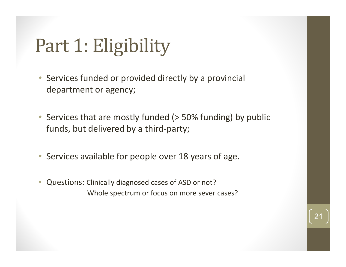## Part 1: Eligibility

- Services funded or provided directly by a provincial department or agency;
- Services that are mostly funded (> 50% funding) by public funds, but delivered by a third ‐party;
- Services available for people over 18 years of age.
- Questions: Clinically diagnosed cases of ASD or not? Whole spectrum or focus on more sever cases?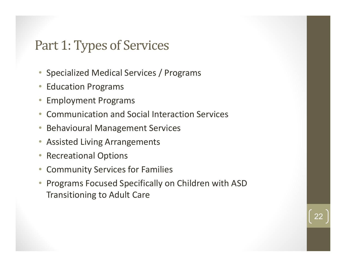#### Part 1: Types of Services

- Specialized Medical Services / Programs
- $\bullet$ • Education Programs
- •Employment Programs
- $\bullet$ Communication and Social Interaction Services
- $\bullet$ Behavioural Management Services
- $\bullet$ Assisted Living Arrangements
- •Recreational Options
- $\bullet$ Community Services for Families
- • Programs Focused Specifically on Children with ASD Transitioning to Adult Care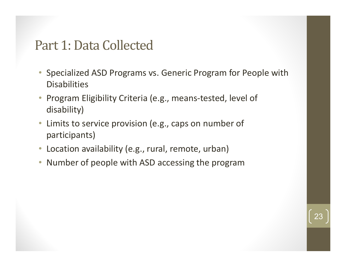#### Part 1: Data Collected

- Specialized ASD Programs vs. Generic Program for People with **Disabilities**
- Program Eligibility Criteria (e.g., means-tested, level of disability)
- $\bullet$  Limits to service provision (e.g., caps on number of participants)
- $\bullet$ • Location availability (e.g., rural, remote, urban)
- $\bullet$ Number of people with ASD accessing the program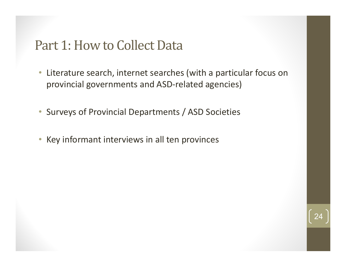#### Part 1: How to Collect Data

- $\bullet$  Literature search, internet searches (with a particular focus on provincial governments and ASD-related agencies)
- Surveys of Provincial Departments / ASD Societies
- Key informant interviews in all ten provinces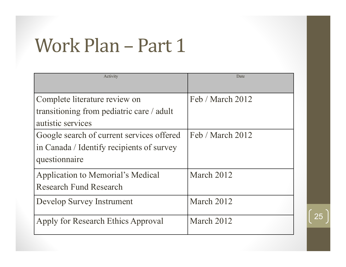## Work Plan - Part 1

| Activity                                  | Date             |
|-------------------------------------------|------------------|
|                                           |                  |
| Complete literature review on             | Feb / March 2012 |
| transitioning from pediatric care / adult |                  |
| autistic services                         |                  |
| Google search of current services offered | Feb / March 2012 |
| in Canada / Identify recipients of survey |                  |
| questionnaire                             |                  |
| <b>Application to Memorial's Medical</b>  | March 2012       |
| <b>Research Fund Research</b>             |                  |
| Develop Survey Instrument                 | March 2012       |
|                                           |                  |
| Apply for Research Ethics Approval        | March 2012       |
|                                           |                  |

25